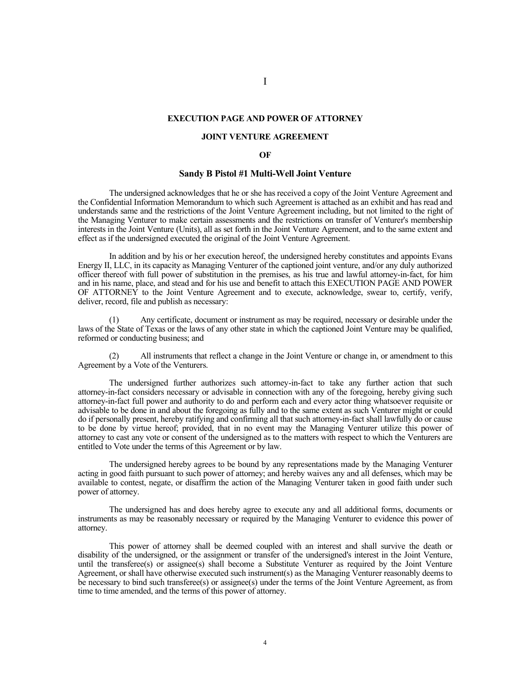## **EXECUTION PAGE AND POWER OF ATTORNEY**

## **JOINT VENTURE AGREEMENT**

## **OF**

## **Sandy B Pistol #1 Multi-Well Joint Venture**

The undersigned acknowledges that he or she has received a copy of the Joint Venture Agreement and the Confidential Information Memorandum to which such Agreement is attached as an exhibit and has read and understands same and the restrictions of the Joint Venture Agreement including, but not limited to the right of the Managing Venturer to make certain assessments and the restrictions on transfer of Venturer's membership interests in the Joint Venture (Units), all as set forth in the Joint Venture Agreement, and to the same extent and effect as if the undersigned executed the original of the Joint Venture Agreement.

In addition and by his or her execution hereof, the undersigned hereby constitutes and appoints Evans Energy II, LLC, in its capacity as Managing Venturer of the captioned joint venture, and/or any duly authorized officer thereof with full power of substitution in the premises, as his true and lawful attorney-in-fact, for him and in his name, place, and stead and for his use and benefit to attach this EXECUTION PAGE AND POWER OF ATTORNEY to the Joint Venture Agreement and to execute, acknowledge, swear to, certify, verify, deliver, record, file and publish as necessary:

Any certificate, document or instrument as may be required, necessary or desirable under the laws of the State of Texas or the laws of any other state in which the captioned Joint Venture may be qualified, reformed or conducting business; and

(2) All instruments that reflect a change in the Joint Venture or change in, or amendment to this Agreement by a Vote of the Venturers.

The undersigned further authorizes such attorney-in-fact to take any further action that such attorney-in-fact considers necessary or advisable in connection with any of the foregoing, hereby giving such attorney-in-fact full power and authority to do and perform each and every actor thing whatsoever requisite or advisable to be done in and about the foregoing as fully and to the same extent as such Venturer might or could do if personally present, hereby ratifying and confirming all that such attorney-in-fact shall lawfully do or cause to be done by virtue hereof; provided, that in no event may the Managing Venturer utilize this power of attorney to cast any vote or consent of the undersigned as to the matters with respect to which the Venturers are entitled to Vote under the terms of this Agreement or by law.

The undersigned hereby agrees to be bound by any representations made by the Managing Venturer acting in good faith pursuant to such power of attorney; and hereby waives any and all defenses, which may be available to contest, negate, or disaffirm the action of the Managing Venturer taken in good faith under such power of attorney.

The undersigned has and does hereby agree to execute any and all additional forms, documents or instruments as may be reasonably necessary or required by the Managing Venturer to evidence this power of attorney.

This power of attorney shall be deemed coupled with an interest and shall survive the death or disability of the undersigned, or the assignment or transfer of the undersigned's interest in the Joint Venture, until the transferee(s) or assignee(s) shall become a Substitute Venturer as required by the Joint Venture Agreement, or shall have otherwise executed such instrument(s) as the Managing Venturer reasonably deems to be necessary to bind such transferee(s) or assignee(s) under the terms of the Joint Venture Agreement, as from time to time amended, and the terms of this power of attorney.